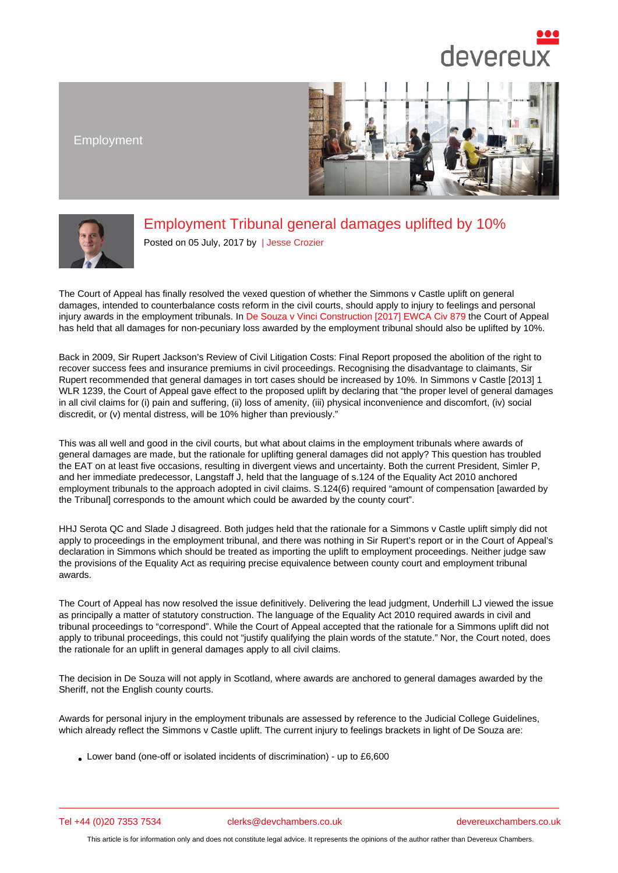Employment

## Employment Tribunal general damages uplifted by 10%

Posted on 05 July, 2017 by | Jesse Crozier

The Court of Appeal has finally resolved the vexe[d question of w](/barristers/profile/jesse-crozier)hether the Simmons v Castle uplift on general damages, intended to counterbalance costs reform in the civil courts, should apply to injury to feelings and personal injury awards in the employment tribunals. In De Souza v Vinci Construction [2017] EWCA Civ 879 the Court of Appeal has held that all damages for non-pecuniary loss awarded by the employment tribunal should also be uplifted by 10%.

Back in 2009, Sir Rupert Jackson's Review of Civil Litigation Costs: Final Report proposed the abolition of the right to recover success fees and insurance premiu[ms in civil proceedings. Recognising the disadvantage t](http://www.bailii.org/ew/cases/EWCA/Civ/2017/879.html)o claimants, Sir Rupert recommended that general damages in tort cases should be increased by 10%. In Simmons v Castle [2013] 1 WLR 1239, the Court of Appeal gave effect to the proposed uplift by declaring that "the proper level of general damages" in all civil claims for (i) pain and suffering, (ii) loss of amenity, (iii) physical inconvenience and discomfort, (iv) social discredit, or (v) mental distress, will be 10% higher than previously."

This was all well and good in the civil courts, but what about claims in the employment tribunals where awards of general damages are made, but the rationale for uplifting general damages did not apply? This question has troubled the EAT on at least five occasions, resulting in divergent views and uncertainty. Both the current President, Simler P, and her immediate predecessor, Langstaff J, held that the language of s.124 of the Equality Act 2010 anchored employment tribunals to the approach adopted in civil claims. S.124(6) required "amount of compensation [awarded by the Tribunal] corresponds to the amount which could be awarded by the county court".

HHJ Serota QC and Slade J disagreed. Both judges held that the rationale for a Simmons v Castle uplift simply did not apply to proceedings in the employment tribunal, and there was nothing in Sir Rupert's report or in the Court of Appeal's declaration in Simmons which should be treated as importing the uplift to employment proceedings. Neither judge saw the provisions of the Equality Act as requiring precise equivalence between county court and employment tribunal awards.

The Court of Appeal has now resolved the issue definitively. Delivering the lead judgment, Underhill LJ viewed the issue as principally a matter of statutory construction. The language of the Equality Act 2010 required awards in civil and tribunal proceedings to "correspond". While the Court of Appeal accepted that the rationale for a Simmons uplift did not apply to tribunal proceedings, this could not "justify qualifying the plain words of the statute." Nor, the Court noted, does the rationale for an uplift in general damages apply to all civil claims.

The decision in De Souza will not apply in Scotland, where awards are anchored to general damages awarded by the Sheriff, not the English county courts.

Awards for personal injury in the employment tribunals are assessed by reference to the Judicial College Guidelines, which already reflect the Simmons v Castle uplift. The current injury to feelings brackets in light of De Souza are:

Lower band (one-off or isolated incidents of discrimination) - up to £6,600

Tel +44 (0)20 7353 7534 clerks@devchambers.co.uk devereuxchambers.co.uk

This article is for information only and does not constitute legal advice. It represents the opinions of the author rather than Devereux Chambers.